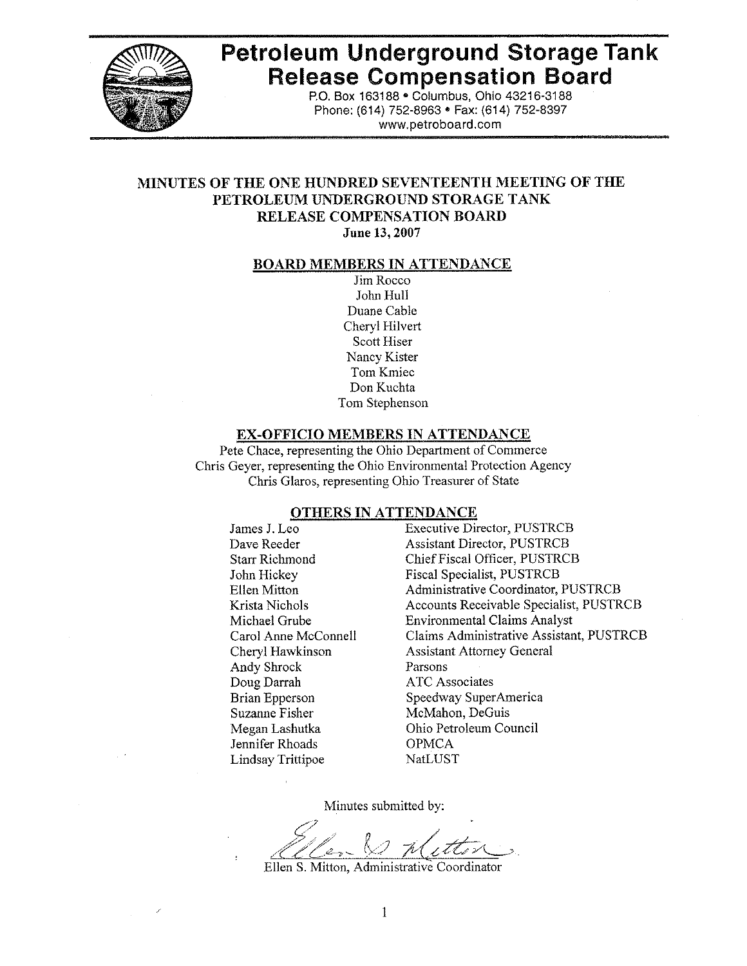

# **Petroleum Underground Storage Tank Release Compensation Board**

P.O. Box 163188 . Columbus, Ohio 43216-3188 Phone: (614) 752-8963 · Fax: (614) 752-8397 www.petroboard.com

## MINUTES OF THE ONE HUNDRED SEVENTEENTH MEETING OF THE PETROLEUM UNDERGROUND STORAGE TANK **RELEASE COMPENSATION BOARD**

#### June 13, 2007

#### **BOARD MEMBERS IN ATTENDANCE**

Jim Rocco John Hull Duane Cable Cheryl Hilvert Scott Hiser Nancy Kister Tom Kmiec Don Kuchta Tom Stephenson

#### **EX-OFFICIO MEMBERS IN ATTENDANCE**

Pete Chace, representing the Ohio Department of Commerce Chris Gever, representing the Ohio Environmental Protection Agency Chris Glaros, representing Ohio Treasurer of State

#### **OTHERS IN ATTENDANCE**

James J. Leo Dave Reeder **Starr Richmond** John Hickey **Ellen Mitton** Krista Nichols Michael Grube Carol Anne McConnell Cheryl Hawkinson Andy Shrock Doug Darrah **Brian Epperson Suzanne Fisher** Megan Lashutka Jennifer Rhoads **Lindsay Trittipoe** 

**Executive Director, PUSTRCB Assistant Director, PUSTRCB** Chief Fiscal Officer, PUSTRCB **Fiscal Specialist, PUSTRCB Administrative Coordinator, PUSTRCB** Accounts Receivable Specialist, PUSTRCB **Environmental Claims Analyst** Claims Administrative Assistant, PUSTRCB **Assistant Attorney General** Parsons **ATC** Associates Speedway SuperAmerica McMahon, DeGuis Ohio Petroleum Council **OPMCA** NatLUST

Minutes submitted by:

Ellen S. Mitton, Administrative Coordinator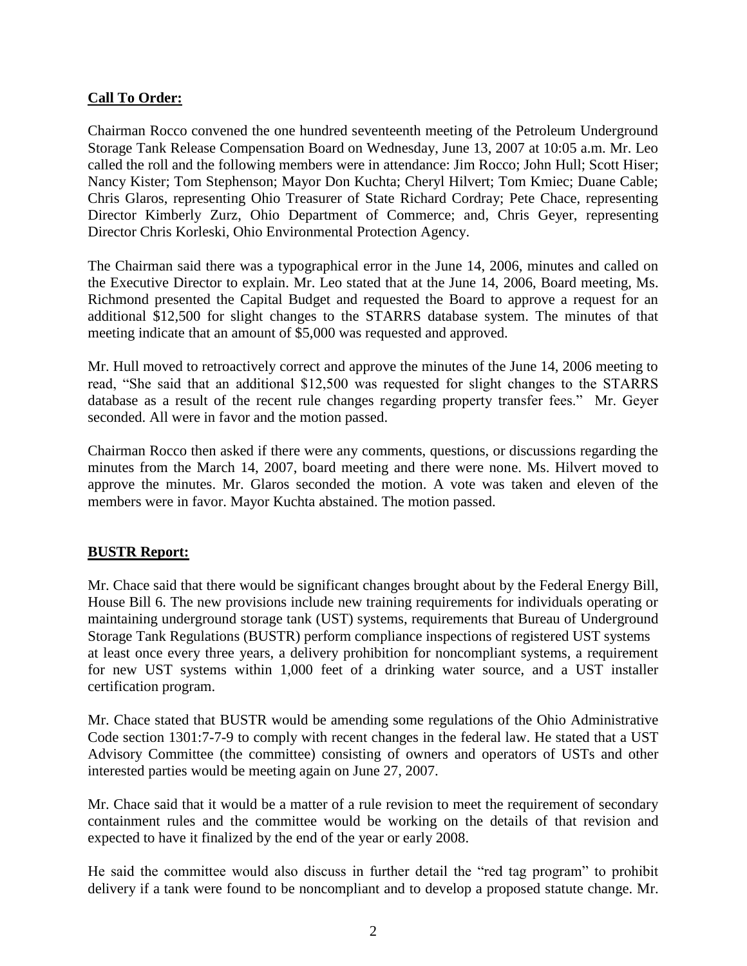## **Call To Order:**

Chairman Rocco convened the one hundred seventeenth meeting of the Petroleum Underground Storage Tank Release Compensation Board on Wednesday, June 13, 2007 at 10:05 a.m. Mr. Leo called the roll and the following members were in attendance: Jim Rocco; John Hull; Scott Hiser; Nancy Kister; Tom Stephenson; Mayor Don Kuchta; Cheryl Hilvert; Tom Kmiec; Duane Cable; Chris Glaros, representing Ohio Treasurer of State Richard Cordray; Pete Chace, representing Director Kimberly Zurz, Ohio Department of Commerce; and, Chris Geyer, representing Director Chris Korleski, Ohio Environmental Protection Agency.

The Chairman said there was a typographical error in the June 14, 2006, minutes and called on the Executive Director to explain. Mr. Leo stated that at the June 14, 2006, Board meeting, Ms. Richmond presented the Capital Budget and requested the Board to approve a request for an additional \$12,500 for slight changes to the STARRS database system. The minutes of that meeting indicate that an amount of \$5,000 was requested and approved.

Mr. Hull moved to retroactively correct and approve the minutes of the June 14, 2006 meeting to read, "She said that an additional \$12,500 was requested for slight changes to the STARRS database as a result of the recent rule changes regarding property transfer fees." Mr. Geyer seconded. All were in favor and the motion passed.

Chairman Rocco then asked if there were any comments, questions, or discussions regarding the minutes from the March 14, 2007, board meeting and there were none. Ms. Hilvert moved to approve the minutes. Mr. Glaros seconded the motion. A vote was taken and eleven of the members were in favor. Mayor Kuchta abstained. The motion passed.

## **BUSTR Report:**

Mr. Chace said that there would be significant changes brought about by the Federal Energy Bill, House Bill 6. The new provisions include new training requirements for individuals operating or maintaining underground storage tank (UST) systems, requirements that Bureau of Underground Storage Tank Regulations (BUSTR) perform compliance inspections of registered UST systems at least once every three years, a delivery prohibition for noncompliant systems, a requirement for new UST systems within 1,000 feet of a drinking water source, and a UST installer certification program.

Mr. Chace stated that BUSTR would be amending some regulations of the Ohio Administrative Code section 1301:7-7-9 to comply with recent changes in the federal law. He stated that a UST Advisory Committee (the committee) consisting of owners and operators of USTs and other interested parties would be meeting again on June 27, 2007.

Mr. Chace said that it would be a matter of a rule revision to meet the requirement of secondary containment rules and the committee would be working on the details of that revision and expected to have it finalized by the end of the year or early 2008.

He said the committee would also discuss in further detail the "red tag program" to prohibit delivery if a tank were found to be noncompliant and to develop a proposed statute change. Mr.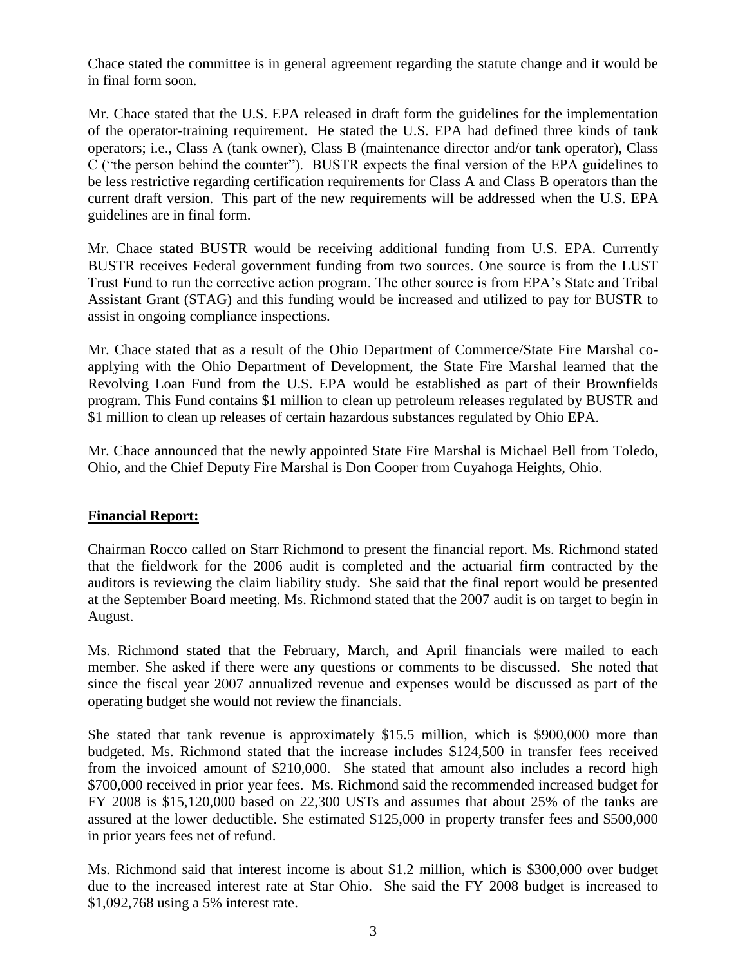Chace stated the committee is in general agreement regarding the statute change and it would be in final form soon.

Mr. Chace stated that the U.S. EPA released in draft form the guidelines for the implementation of the operator-training requirement. He stated the U.S. EPA had defined three kinds of tank operators; i.e., Class A (tank owner), Class B (maintenance director and/or tank operator), Class C ("the person behind the counter"). BUSTR expects the final version of the EPA guidelines to be less restrictive regarding certification requirements for Class A and Class B operators than the current draft version. This part of the new requirements will be addressed when the U.S. EPA guidelines are in final form.

Mr. Chace stated BUSTR would be receiving additional funding from U.S. EPA. Currently BUSTR receives Federal government funding from two sources. One source is from the LUST Trust Fund to run the corrective action program. The other source is from EPA's State and Tribal Assistant Grant (STAG) and this funding would be increased and utilized to pay for BUSTR to assist in ongoing compliance inspections.

Mr. Chace stated that as a result of the Ohio Department of Commerce/State Fire Marshal coapplying with the Ohio Department of Development, the State Fire Marshal learned that the Revolving Loan Fund from the U.S. EPA would be established as part of their Brownfields program. This Fund contains \$1 million to clean up petroleum releases regulated by BUSTR and \$1 million to clean up releases of certain hazardous substances regulated by Ohio EPA.

Mr. Chace announced that the newly appointed State Fire Marshal is Michael Bell from Toledo, Ohio, and the Chief Deputy Fire Marshal is Don Cooper from Cuyahoga Heights, Ohio.

## **Financial Report:**

Chairman Rocco called on Starr Richmond to present the financial report. Ms. Richmond stated that the fieldwork for the 2006 audit is completed and the actuarial firm contracted by the auditors is reviewing the claim liability study. She said that the final report would be presented at the September Board meeting. Ms. Richmond stated that the 2007 audit is on target to begin in August.

Ms. Richmond stated that the February, March, and April financials were mailed to each member. She asked if there were any questions or comments to be discussed. She noted that since the fiscal year 2007 annualized revenue and expenses would be discussed as part of the operating budget she would not review the financials.

She stated that tank revenue is approximately \$15.5 million, which is \$900,000 more than budgeted. Ms. Richmond stated that the increase includes \$124,500 in transfer fees received from the invoiced amount of \$210,000. She stated that amount also includes a record high \$700,000 received in prior year fees. Ms. Richmond said the recommended increased budget for FY 2008 is \$15,120,000 based on 22,300 USTs and assumes that about 25% of the tanks are assured at the lower deductible. She estimated \$125,000 in property transfer fees and \$500,000 in prior years fees net of refund.

Ms. Richmond said that interest income is about \$1.2 million, which is \$300,000 over budget due to the increased interest rate at Star Ohio. She said the FY 2008 budget is increased to \$1,092,768 using a 5% interest rate.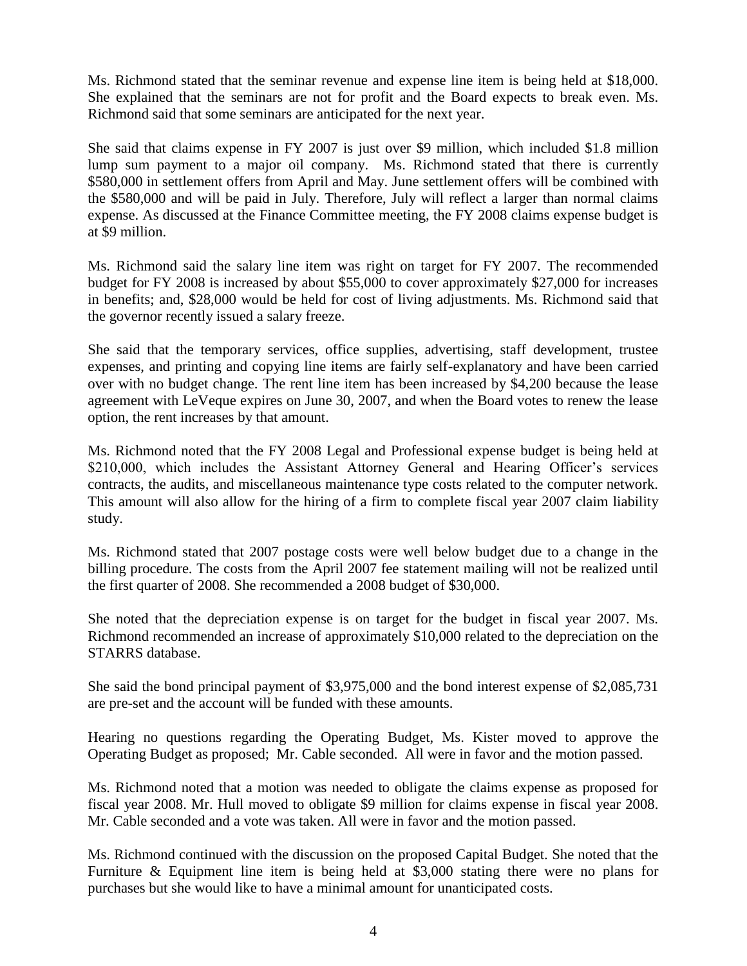Ms. Richmond stated that the seminar revenue and expense line item is being held at \$18,000. She explained that the seminars are not for profit and the Board expects to break even. Ms. Richmond said that some seminars are anticipated for the next year.

She said that claims expense in FY 2007 is just over \$9 million, which included \$1.8 million lump sum payment to a major oil company. Ms. Richmond stated that there is currently \$580,000 in settlement offers from April and May. June settlement offers will be combined with the \$580,000 and will be paid in July. Therefore, July will reflect a larger than normal claims expense. As discussed at the Finance Committee meeting, the FY 2008 claims expense budget is at \$9 million.

Ms. Richmond said the salary line item was right on target for FY 2007. The recommended budget for FY 2008 is increased by about \$55,000 to cover approximately \$27,000 for increases in benefits; and, \$28,000 would be held for cost of living adjustments. Ms. Richmond said that the governor recently issued a salary freeze.

She said that the temporary services, office supplies, advertising, staff development, trustee expenses, and printing and copying line items are fairly self-explanatory and have been carried over with no budget change. The rent line item has been increased by \$4,200 because the lease agreement with LeVeque expires on June 30, 2007, and when the Board votes to renew the lease option, the rent increases by that amount.

Ms. Richmond noted that the FY 2008 Legal and Professional expense budget is being held at \$210,000, which includes the Assistant Attorney General and Hearing Officer's services contracts, the audits, and miscellaneous maintenance type costs related to the computer network. This amount will also allow for the hiring of a firm to complete fiscal year 2007 claim liability study.

Ms. Richmond stated that 2007 postage costs were well below budget due to a change in the billing procedure. The costs from the April 2007 fee statement mailing will not be realized until the first quarter of 2008. She recommended a 2008 budget of \$30,000.

She noted that the depreciation expense is on target for the budget in fiscal year 2007. Ms. Richmond recommended an increase of approximately \$10,000 related to the depreciation on the STARRS database.

She said the bond principal payment of \$3,975,000 and the bond interest expense of \$2,085,731 are pre-set and the account will be funded with these amounts.

Hearing no questions regarding the Operating Budget, Ms. Kister moved to approve the Operating Budget as proposed; Mr. Cable seconded. All were in favor and the motion passed.

Ms. Richmond noted that a motion was needed to obligate the claims expense as proposed for fiscal year 2008. Mr. Hull moved to obligate \$9 million for claims expense in fiscal year 2008. Mr. Cable seconded and a vote was taken. All were in favor and the motion passed.

Ms. Richmond continued with the discussion on the proposed Capital Budget. She noted that the Furniture & Equipment line item is being held at \$3,000 stating there were no plans for purchases but she would like to have a minimal amount for unanticipated costs.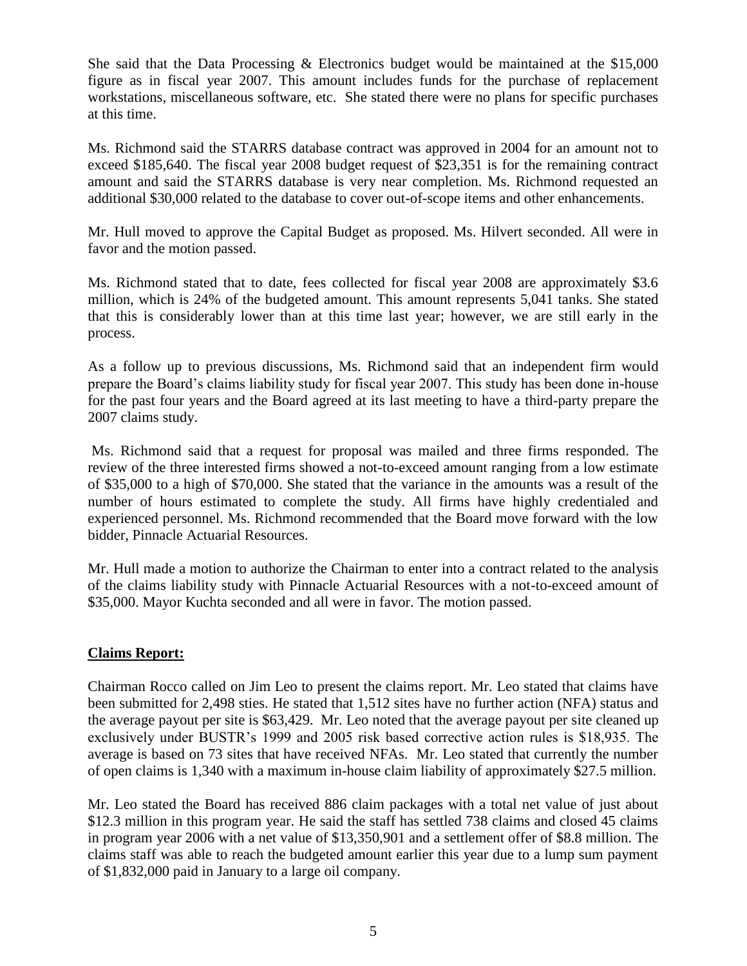She said that the Data Processing & Electronics budget would be maintained at the \$15,000 figure as in fiscal year 2007. This amount includes funds for the purchase of replacement workstations, miscellaneous software, etc. She stated there were no plans for specific purchases at this time.

Ms. Richmond said the STARRS database contract was approved in 2004 for an amount not to exceed \$185,640. The fiscal year 2008 budget request of \$23,351 is for the remaining contract amount and said the STARRS database is very near completion. Ms. Richmond requested an additional \$30,000 related to the database to cover out-of-scope items and other enhancements.

Mr. Hull moved to approve the Capital Budget as proposed. Ms. Hilvert seconded. All were in favor and the motion passed.

Ms. Richmond stated that to date, fees collected for fiscal year 2008 are approximately \$3.6 million, which is 24% of the budgeted amount. This amount represents 5,041 tanks. She stated that this is considerably lower than at this time last year; however, we are still early in the process.

As a follow up to previous discussions, Ms. Richmond said that an independent firm would prepare the Board's claims liability study for fiscal year 2007. This study has been done in-house for the past four years and the Board agreed at its last meeting to have a third-party prepare the 2007 claims study.

 Ms. Richmond said that a request for proposal was mailed and three firms responded. The review of the three interested firms showed a not-to-exceed amount ranging from a low estimate of \$35,000 to a high of \$70,000. She stated that the variance in the amounts was a result of the number of hours estimated to complete the study. All firms have highly credentialed and experienced personnel. Ms. Richmond recommended that the Board move forward with the low bidder, Pinnacle Actuarial Resources.

Mr. Hull made a motion to authorize the Chairman to enter into a contract related to the analysis of the claims liability study with Pinnacle Actuarial Resources with a not-to-exceed amount of \$35,000. Mayor Kuchta seconded and all were in favor. The motion passed.

## **Claims Report:**

Chairman Rocco called on Jim Leo to present the claims report. Mr. Leo stated that claims have been submitted for 2,498 sties. He stated that 1,512 sites have no further action (NFA) status and the average payout per site is \$63,429. Mr. Leo noted that the average payout per site cleaned up exclusively under BUSTR's 1999 and 2005 risk based corrective action rules is \$18,935. The average is based on 73 sites that have received NFAs. Mr. Leo stated that currently the number of open claims is 1,340 with a maximum in-house claim liability of approximately \$27.5 million.

Mr. Leo stated the Board has received 886 claim packages with a total net value of just about \$12.3 million in this program year. He said the staff has settled 738 claims and closed 45 claims in program year 2006 with a net value of \$13,350,901 and a settlement offer of \$8.8 million. The claims staff was able to reach the budgeted amount earlier this year due to a lump sum payment of \$1,832,000 paid in January to a large oil company.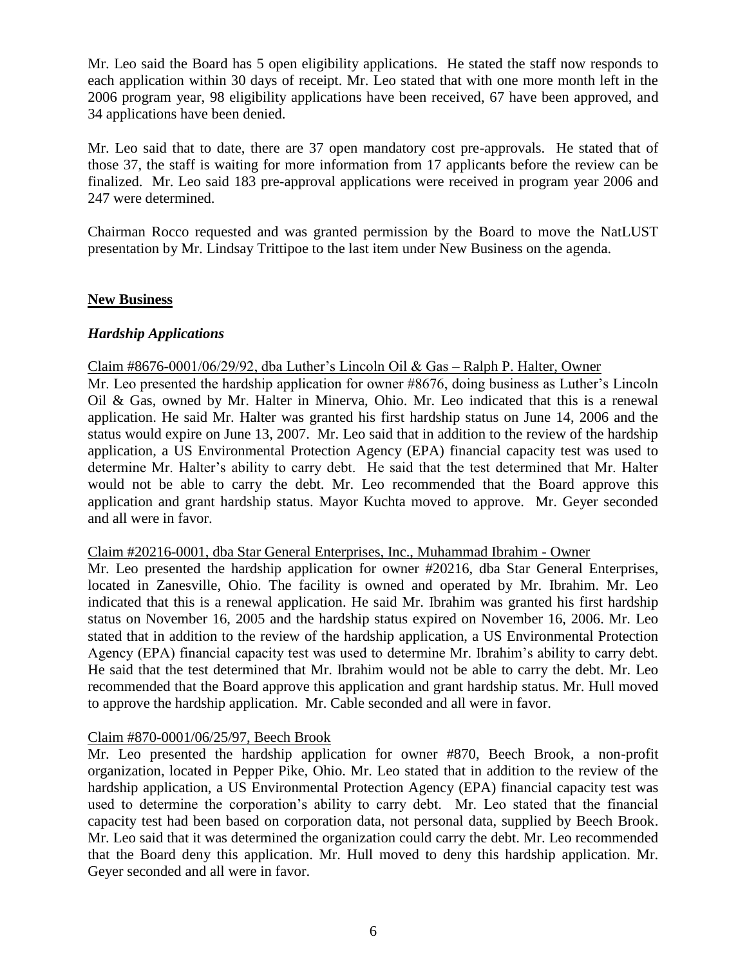Mr. Leo said the Board has 5 open eligibility applications. He stated the staff now responds to each application within 30 days of receipt. Mr. Leo stated that with one more month left in the 2006 program year, 98 eligibility applications have been received, 67 have been approved, and 34 applications have been denied.

Mr. Leo said that to date, there are 37 open mandatory cost pre-approvals. He stated that of those 37, the staff is waiting for more information from 17 applicants before the review can be finalized. Mr. Leo said 183 pre-approval applications were received in program year 2006 and 247 were determined.

Chairman Rocco requested and was granted permission by the Board to move the NatLUST presentation by Mr. Lindsay Trittipoe to the last item under New Business on the agenda.

#### **New Business**

#### *Hardship Applications*

Claim #8676-0001/06/29/92, dba Luther's Lincoln Oil & Gas – Ralph P. Halter, Owner

Mr. Leo presented the hardship application for owner #8676, doing business as Luther's Lincoln Oil & Gas, owned by Mr. Halter in Minerva, Ohio. Mr. Leo indicated that this is a renewal application. He said Mr. Halter was granted his first hardship status on June 14, 2006 and the status would expire on June 13, 2007. Mr. Leo said that in addition to the review of the hardship application, a US Environmental Protection Agency (EPA) financial capacity test was used to determine Mr. Halter's ability to carry debt. He said that the test determined that Mr. Halter would not be able to carry the debt. Mr. Leo recommended that the Board approve this application and grant hardship status. Mayor Kuchta moved to approve. Mr. Geyer seconded and all were in favor.

#### Claim #20216-0001, dba Star General Enterprises, Inc., Muhammad Ibrahim - Owner

Mr. Leo presented the hardship application for owner #20216, dba Star General Enterprises, located in Zanesville, Ohio. The facility is owned and operated by Mr. Ibrahim. Mr. Leo indicated that this is a renewal application. He said Mr. Ibrahim was granted his first hardship status on November 16, 2005 and the hardship status expired on November 16, 2006. Mr. Leo stated that in addition to the review of the hardship application, a US Environmental Protection Agency (EPA) financial capacity test was used to determine Mr. Ibrahim's ability to carry debt. He said that the test determined that Mr. Ibrahim would not be able to carry the debt. Mr. Leo recommended that the Board approve this application and grant hardship status. Mr. Hull moved to approve the hardship application. Mr. Cable seconded and all were in favor.

#### Claim #870-0001/06/25/97, Beech Brook

Mr. Leo presented the hardship application for owner #870, Beech Brook, a non-profit organization, located in Pepper Pike, Ohio. Mr. Leo stated that in addition to the review of the hardship application, a US Environmental Protection Agency (EPA) financial capacity test was used to determine the corporation's ability to carry debt. Mr. Leo stated that the financial capacity test had been based on corporation data, not personal data, supplied by Beech Brook. Mr. Leo said that it was determined the organization could carry the debt. Mr. Leo recommended that the Board deny this application. Mr. Hull moved to deny this hardship application. Mr. Geyer seconded and all were in favor.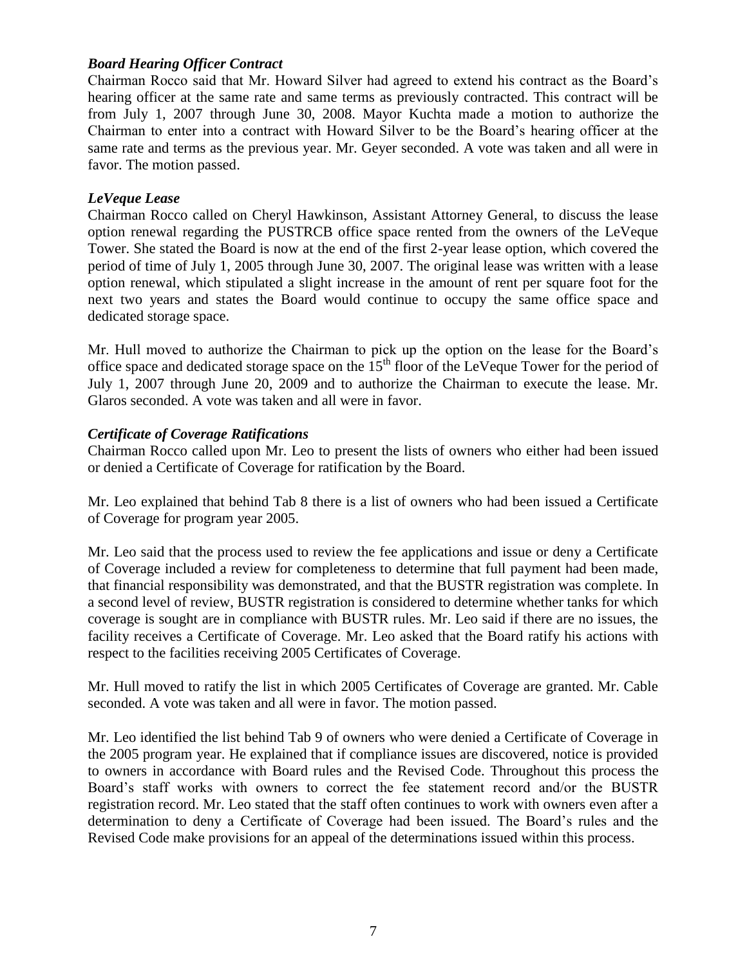#### *Board Hearing Officer Contract*

Chairman Rocco said that Mr. Howard Silver had agreed to extend his contract as the Board's hearing officer at the same rate and same terms as previously contracted. This contract will be from July 1, 2007 through June 30, 2008. Mayor Kuchta made a motion to authorize the Chairman to enter into a contract with Howard Silver to be the Board's hearing officer at the same rate and terms as the previous year. Mr. Geyer seconded. A vote was taken and all were in favor. The motion passed.

#### *LeVeque Lease*

Chairman Rocco called on Cheryl Hawkinson, Assistant Attorney General, to discuss the lease option renewal regarding the PUSTRCB office space rented from the owners of the LeVeque Tower. She stated the Board is now at the end of the first 2-year lease option, which covered the period of time of July 1, 2005 through June 30, 2007. The original lease was written with a lease option renewal, which stipulated a slight increase in the amount of rent per square foot for the next two years and states the Board would continue to occupy the same office space and dedicated storage space.

Mr. Hull moved to authorize the Chairman to pick up the option on the lease for the Board's office space and dedicated storage space on the  $15<sup>th</sup>$  floor of the LeVeque Tower for the period of July 1, 2007 through June 20, 2009 and to authorize the Chairman to execute the lease. Mr. Glaros seconded. A vote was taken and all were in favor.

#### *Certificate of Coverage Ratifications*

Chairman Rocco called upon Mr. Leo to present the lists of owners who either had been issued or denied a Certificate of Coverage for ratification by the Board.

Mr. Leo explained that behind Tab 8 there is a list of owners who had been issued a Certificate of Coverage for program year 2005.

Mr. Leo said that the process used to review the fee applications and issue or deny a Certificate of Coverage included a review for completeness to determine that full payment had been made, that financial responsibility was demonstrated, and that the BUSTR registration was complete. In a second level of review, BUSTR registration is considered to determine whether tanks for which coverage is sought are in compliance with BUSTR rules. Mr. Leo said if there are no issues, the facility receives a Certificate of Coverage. Mr. Leo asked that the Board ratify his actions with respect to the facilities receiving 2005 Certificates of Coverage.

Mr. Hull moved to ratify the list in which 2005 Certificates of Coverage are granted. Mr. Cable seconded. A vote was taken and all were in favor. The motion passed.

Mr. Leo identified the list behind Tab 9 of owners who were denied a Certificate of Coverage in the 2005 program year. He explained that if compliance issues are discovered, notice is provided to owners in accordance with Board rules and the Revised Code. Throughout this process the Board's staff works with owners to correct the fee statement record and/or the BUSTR registration record. Mr. Leo stated that the staff often continues to work with owners even after a determination to deny a Certificate of Coverage had been issued. The Board's rules and the Revised Code make provisions for an appeal of the determinations issued within this process.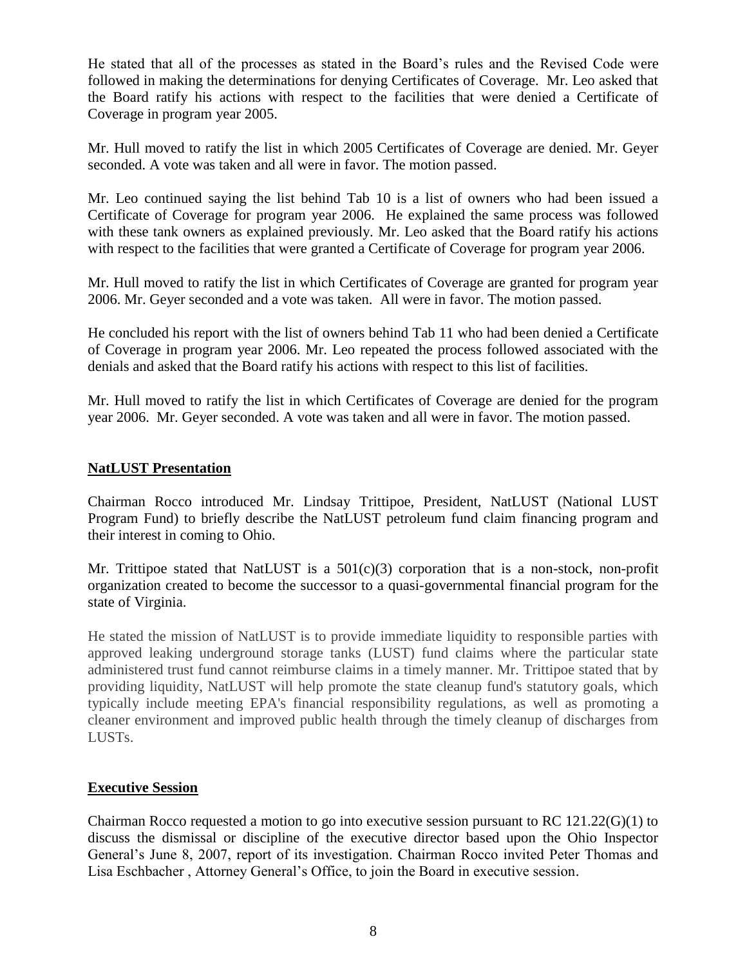He stated that all of the processes as stated in the Board's rules and the Revised Code were followed in making the determinations for denying Certificates of Coverage. Mr. Leo asked that the Board ratify his actions with respect to the facilities that were denied a Certificate of Coverage in program year 2005.

Mr. Hull moved to ratify the list in which 2005 Certificates of Coverage are denied. Mr. Geyer seconded. A vote was taken and all were in favor. The motion passed.

Mr. Leo continued saying the list behind Tab 10 is a list of owners who had been issued a Certificate of Coverage for program year 2006. He explained the same process was followed with these tank owners as explained previously. Mr. Leo asked that the Board ratify his actions with respect to the facilities that were granted a Certificate of Coverage for program year 2006.

Mr. Hull moved to ratify the list in which Certificates of Coverage are granted for program year 2006. Mr. Geyer seconded and a vote was taken. All were in favor. The motion passed.

He concluded his report with the list of owners behind Tab 11 who had been denied a Certificate of Coverage in program year 2006. Mr. Leo repeated the process followed associated with the denials and asked that the Board ratify his actions with respect to this list of facilities.

Mr. Hull moved to ratify the list in which Certificates of Coverage are denied for the program year 2006. Mr. Geyer seconded. A vote was taken and all were in favor. The motion passed.

#### **NatLUST Presentation**

Chairman Rocco introduced Mr. Lindsay Trittipoe, President, NatLUST (National LUST Program Fund) to briefly describe the NatLUST petroleum fund claim financing program and their interest in coming to Ohio.

Mr. Trittipoe stated that NatLUST is a  $501(c)(3)$  corporation that is a non-stock, non-profit organization created to become the successor to a quasi-governmental financial program for the state of Virginia.

He stated the mission of NatLUST is to provide immediate liquidity to responsible parties with approved leaking underground storage tanks (LUST) fund claims where the particular state administered trust fund cannot reimburse claims in a timely manner. Mr. Trittipoe stated that by providing liquidity, NatLUST will help promote the state cleanup fund's statutory goals, which typically include meeting EPA's financial responsibility regulations, as well as promoting a cleaner environment and improved public health through the timely cleanup of discharges from LUSTs.

## **Executive Session**

Chairman Rocco requested a motion to go into executive session pursuant to RC 121.22(G)(1) to discuss the dismissal or discipline of the executive director based upon the Ohio Inspector General's June 8, 2007, report of its investigation. Chairman Rocco invited Peter Thomas and Lisa Eschbacher , Attorney General's Office, to join the Board in executive session.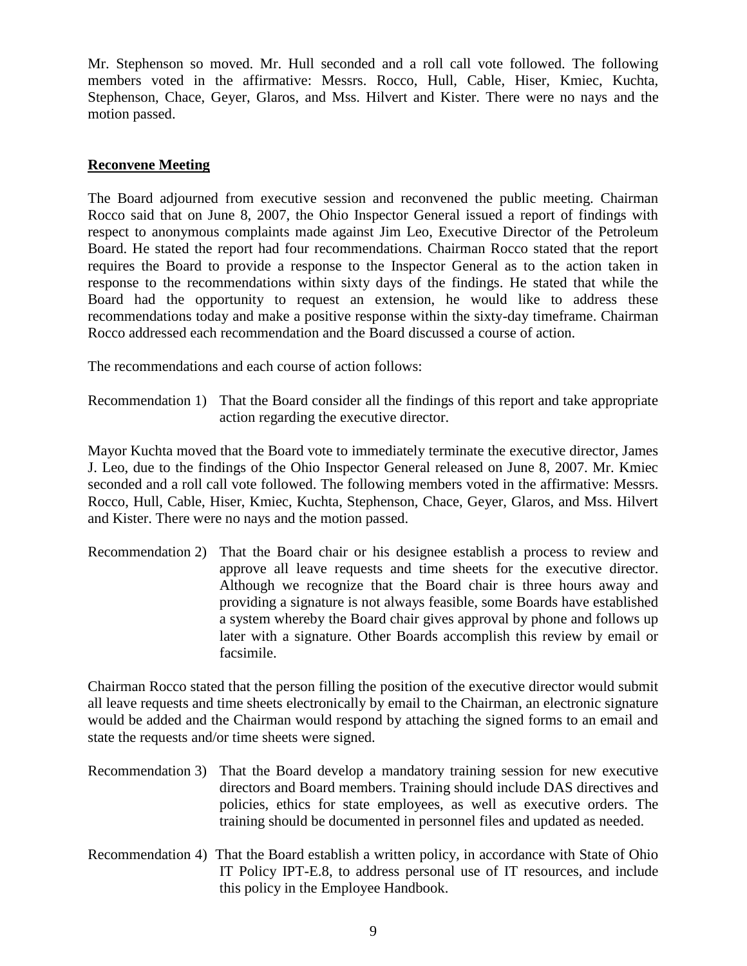Mr. Stephenson so moved. Mr. Hull seconded and a roll call vote followed. The following members voted in the affirmative: Messrs. Rocco, Hull, Cable, Hiser, Kmiec, Kuchta, Stephenson, Chace, Geyer, Glaros, and Mss. Hilvert and Kister. There were no nays and the motion passed.

#### **Reconvene Meeting**

The Board adjourned from executive session and reconvened the public meeting. Chairman Rocco said that on June 8, 2007, the Ohio Inspector General issued a report of findings with respect to anonymous complaints made against Jim Leo, Executive Director of the Petroleum Board. He stated the report had four recommendations. Chairman Rocco stated that the report requires the Board to provide a response to the Inspector General as to the action taken in response to the recommendations within sixty days of the findings. He stated that while the Board had the opportunity to request an extension, he would like to address these recommendations today and make a positive response within the sixty-day timeframe. Chairman Rocco addressed each recommendation and the Board discussed a course of action.

The recommendations and each course of action follows:

Recommendation 1) That the Board consider all the findings of this report and take appropriate action regarding the executive director.

Mayor Kuchta moved that the Board vote to immediately terminate the executive director, James J. Leo, due to the findings of the Ohio Inspector General released on June 8, 2007. Mr. Kmiec seconded and a roll call vote followed. The following members voted in the affirmative: Messrs. Rocco, Hull, Cable, Hiser, Kmiec, Kuchta, Stephenson, Chace, Geyer, Glaros, and Mss. Hilvert and Kister. There were no nays and the motion passed.

Recommendation 2) That the Board chair or his designee establish a process to review and approve all leave requests and time sheets for the executive director. Although we recognize that the Board chair is three hours away and providing a signature is not always feasible, some Boards have established a system whereby the Board chair gives approval by phone and follows up later with a signature. Other Boards accomplish this review by email or facsimile.

Chairman Rocco stated that the person filling the position of the executive director would submit all leave requests and time sheets electronically by email to the Chairman, an electronic signature would be added and the Chairman would respond by attaching the signed forms to an email and state the requests and/or time sheets were signed.

- Recommendation 3) That the Board develop a mandatory training session for new executive directors and Board members. Training should include DAS directives and policies, ethics for state employees, as well as executive orders. The training should be documented in personnel files and updated as needed.
- Recommendation 4) That the Board establish a written policy, in accordance with State of Ohio IT Policy IPT-E.8, to address personal use of IT resources, and include this policy in the Employee Handbook.